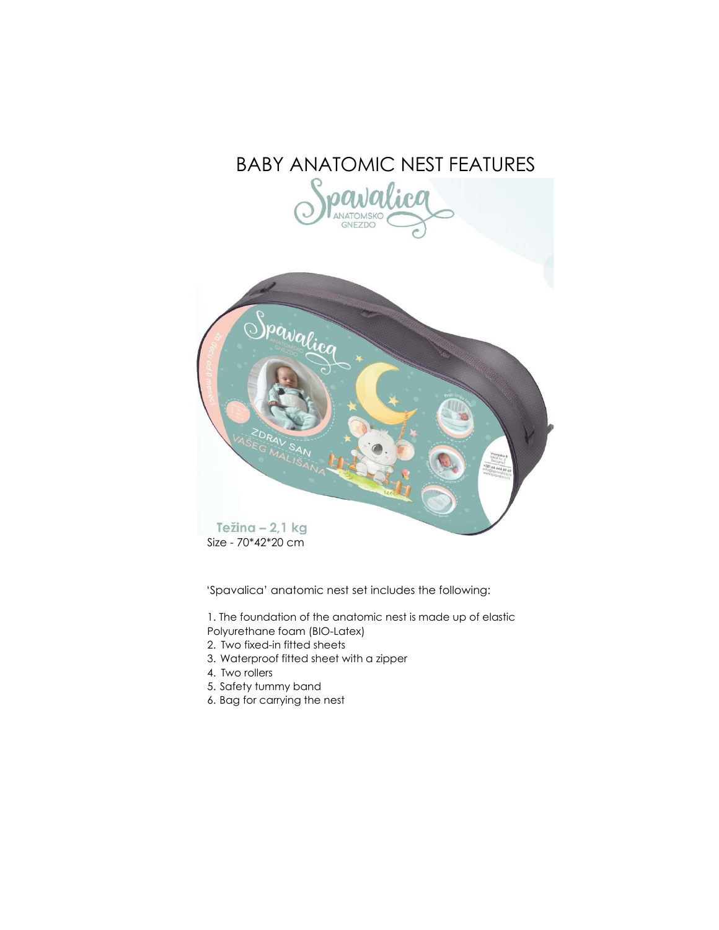# BABY ANATOMIC NEST FEATURES





Size - 70\*42\*20 cm

'Spavalica' anatomic nest set includes the following:

1. The foundation of the anatomic nest is made up of elastic Polyurethane foam (BIO-Latex)

- 2. Two fixed-in fitted sheets
- 3. Waterproof fitted sheet with a zipper
- 4. Two rollers
- 5. Safety tummy band
- 6. Bag for carrying the nest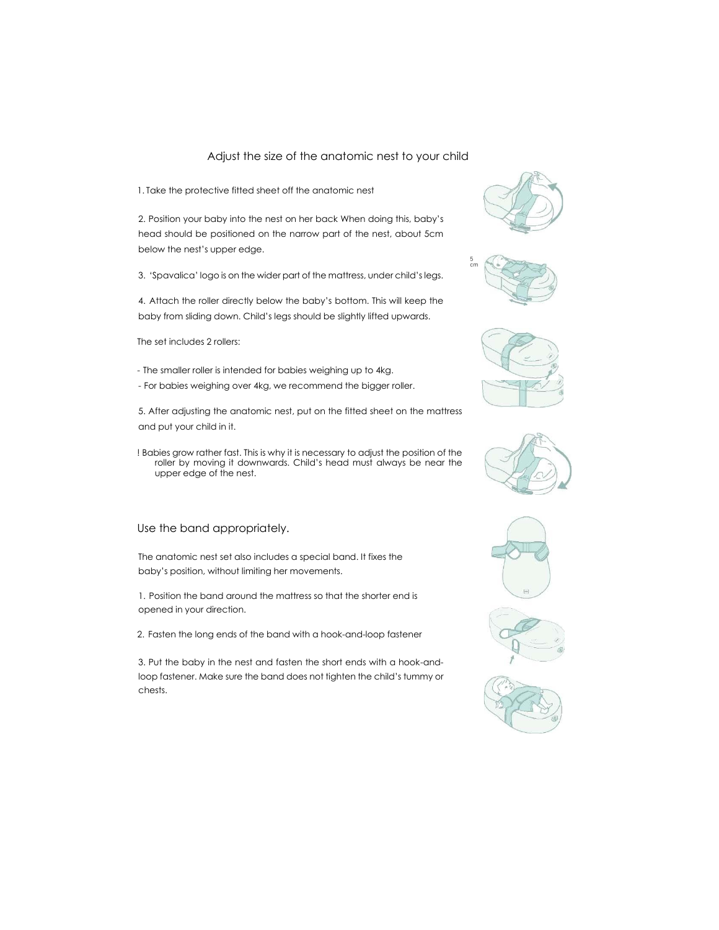#### Adjust the size of the anatomic nest to your child

1. Take the protective fitted sheet off the anatomic nest

2. Position your baby into the nest on her back When doing this, baby's head should be positioned on the narrow part of the nest, about 5cm below the nest's upper edge.

3. 'Spavalica' logo is on the wider part of the mattress, under child's legs.

4. Attach the roller directly below the baby's bottom. This will keep the baby from sliding down. Child's legs should be slightly lifted upwards.

The set includes 2 rollers:

- The smaller roller is intended for babies weighing up to 4kg.
- For babies weighing over 4kg, we recommend the bigger roller.

5. After adjusting the anatomic nest, put on the fitted sheet on the mattress and put your child in it.

! Babies grow rather fast. This is why it is necessary to adjust the position of the roller by moving it downwards. Child's head must always be near the upper edge of the nest.

#### Use the band appropriately.

The anatomic nest set also includes a special band. It fixes the baby's position, without limiting her movements.

1. Position the band around the mattress so that the shorter end is opened in your direction.

2. Fasten the long ends of the band with a hook-and-loop fastener

3. Put the baby in the nest and fasten the short ends with a hook-andloop fastener. Make sure the band does not tighten the child's tummy or chests.













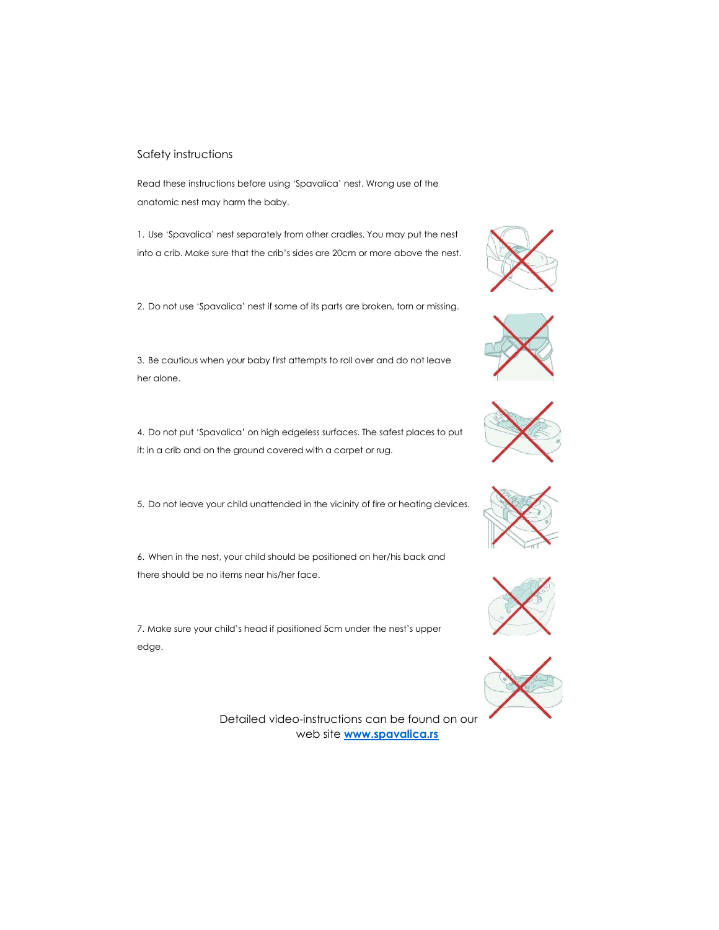#### Safety instructions

Read these instructions before using 'Spavalica' nest. Wrong use of the anatomic nest may harm the baby.

1. Use 'Spavalica' nest separately from other cradles. You may put the nest into a crib. Make sure that the crib's sides are 20cm or more above the nest.

2. Do not use 'Spavalica' nest if some of its parts are broken, torn or missing.

3. Be cautious when your baby first attempts to roll over and do not leave her alone.

4. Do not put 'Spavalica' on high edgeless surfaces. The safest places to put it: in a crib and on the ground covered with a carpet or rug.

5. Do not leave your child unattended in the vicinity of fire or heating devices.

6. When in the nest, your child should be positioned on her/his back and there should be no items near his/her face.

7. Make sure your child's head if positioned 5cm under the nest's upper edge.

> Detailed video-instructions can be found on our web site **[www.spavalica.rs](http://www.spavalica.rs/)**